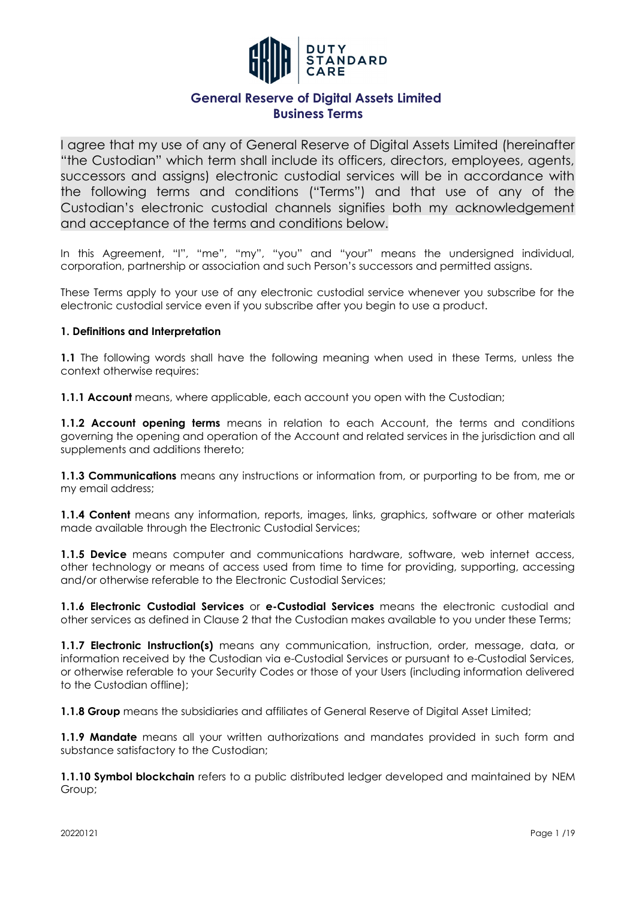

I agree that my use of any of General Reserve of Digital Assets Limited (hereinafter "the Custodian" which term shall include its officers, directors, employees, agents, successors and assigns) electronic custodial services will be in accordance with the following terms and conditions ("Terms") and that use of any of the Custodian's electronic custodial channels signifies both my acknowledgement and acceptance of the terms and conditions below.

In this Agreement, "I", "me", "my", "you" and "your" means the undersigned individual, corporation, partnership or association and such Person's successors and permitted assigns.

These Terms apply to your use of any electronic custodial service whenever you subscribe for the electronic custodial service even if you subscribe after you begin to use a product.

#### **1. Definitions and Interpretation**

**1.1** The following words shall have the following meaning when used in these Terms, unless the context otherwise requires:

**1.1.1 Account** means, where applicable, each account you open with the Custodian;

**1.1.2 Account opening terms** means in relation to each Account, the terms and conditions governing the opening and operation of the Account and related services in the jurisdiction and all supplements and additions thereto;

**1.1.3 Communications** means any instructions or information from, or purporting to be from, me or my email address;

**1.1.4 Content** means any information, reports, images, links, graphics, software or other materials made available through the Electronic Custodial Services;

**1.1.5 Device** means computer and communications hardware, software, web internet access, other technology or means of access used from time to time for providing, supporting, accessing and/or otherwise referable to the Electronic Custodial Services;

**1.1.6 Electronic Custodial Services** or **e-Custodial Services** means the electronic custodial and other services as defined in Clause 2 that the Custodian makes available to you under these Terms;

**1.1.7 Electronic Instruction(s)** means any communication, instruction, order, message, data, or information received by the Custodian via e-Custodial Services or pursuant to e-Custodial Services, or otherwise referable to your Security Codes or those of your Users (including information delivered to the Custodian offline);

**1.1.8 Group** means the subsidiaries and affiliates of General Reserve of Digital Asset Limited;

**1.1.9 Mandate** means all your written authorizations and mandates provided in such form and substance satisfactory to the Custodian;

**1.1.10 Symbol blockchain** refers to a public distributed ledger developed and maintained by NEM Group;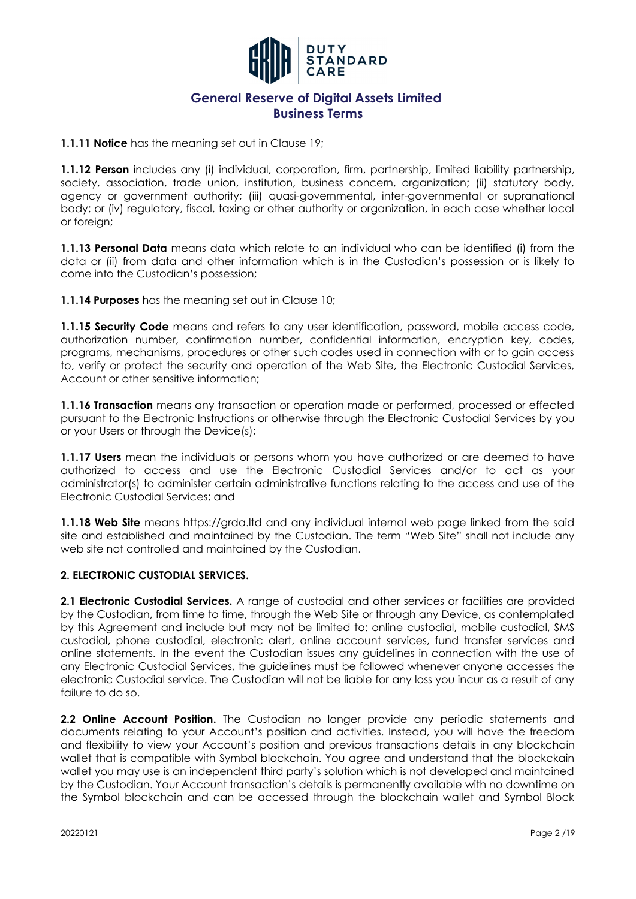

**1.1.11 Notice** has the meaning set out in Clause 19;

**1.1.12 Person** includes any (i) individual, corporation, firm, partnership, limited liability partnership, society, association, trade union, institution, business concern, organization; (ii) statutory body, agency or government authority; (iii) quasi-governmental, inter-governmental or supranational body; or (iv) regulatory, fiscal, taxing or other authority or organization, in each case whether local or foreian:

**1.1.13 Personal Data** means data which relate to an individual who can be identified (i) from the data or (ii) from data and other information which is in the Custodian's possession or is likely to come into the Custodian's possession;

**1.1.14 Purposes** has the meaning set out in Clause 10;

**1.1.15 Security Code** means and refers to any user identification, password, mobile access code, authorization number, confirmation number, confidential information, encryption key, codes, programs, mechanisms, procedures or other such codes used in connection with or to gain access to, verify or protect the security and operation of the Web Site, the Electronic Custodial Services, Account or other sensitive information;

**1.1.16 Transaction** means any transaction or operation made or performed, processed or effected pursuant to the Electronic Instructions or otherwise through the Electronic Custodial Services by you or your Users or through the Device(s);

**1.1.17 Users** mean the individuals or persons whom you have authorized or are deemed to have authorized to access and use the Electronic Custodial Services and/or to act as your administrator(s) to administer certain administrative functions relating to the access and use of the Electronic Custodial Services; and

**1.1.18 Web Site** means https://grda.ltd and any individual internal web page linked from the said site and established and maintained by the Custodian. The term "Web Site" shall not include any web site not controlled and maintained by the Custodian.

### **2. ELECTRONIC CUSTODIAL SERVICES.**

**2.1 Electronic Custodial Services.** A range of custodial and other services or facilities are provided by the Custodian, from time to time, through the Web Site or through any Device, as contemplated by this Agreement and include but may not be limited to: online custodial, mobile custodial, SMS custodial, phone custodial, electronic alert, online account services, fund transfer services and online statements. In the event the Custodian issues any guidelines in connection with the use of any Electronic Custodial Services, the guidelines must be followed whenever anyone accesses the electronic Custodial service. The Custodian will not be liable for any loss you incur as a result of any failure to do so.

**2.2 Online Account Position.** The Custodian no longer provide any periodic statements and documents relating to your Account's position and activities. Instead, you will have the freedom and flexibility to view your Account's position and previous transactions details in any blockchain wallet that is compatible with Symbol blockchain. You agree and understand that the blockckain wallet you may use is an independent third party's solution which is not developed and maintained by the Custodian. Your Account transaction's details is permanently available with no downtime on the Symbol blockchain and can be accessed through the blockchain wallet and Symbol Block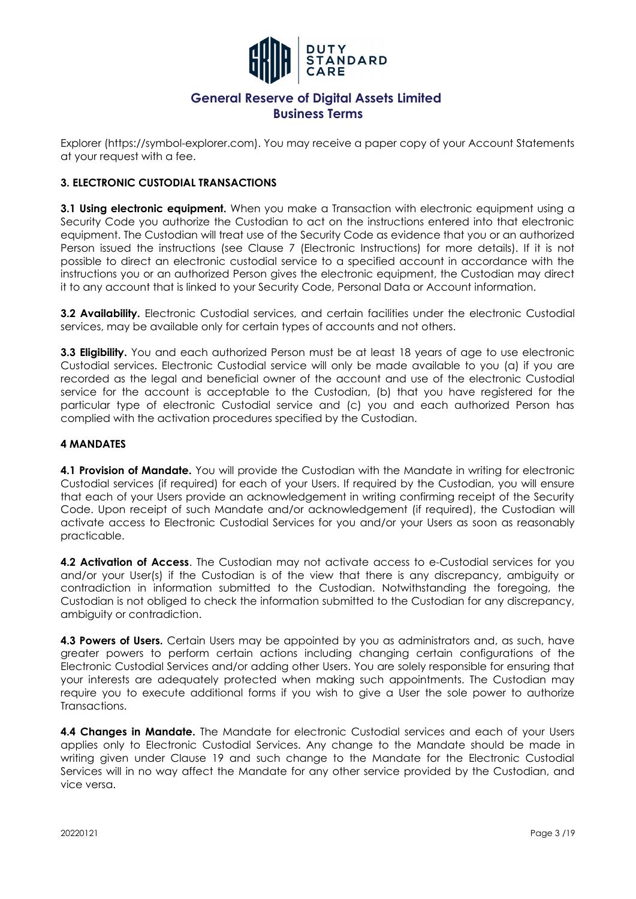

Explorer (https://symbol-explorer.com). You may receive a paper copy of your Account Statements at your request with a fee.

### **3. ELECTRONIC CUSTODIAL TRANSACTIONS**

**3.1 Using electronic equipment.** When you make a Transaction with electronic equipment using a Security Code you authorize the Custodian to act on the instructions entered into that electronic equipment. The Custodian will treat use of the Security Code as evidence that you or an authorized Person issued the instructions (see Clause 7 (Electronic Instructions) for more details). If it is not possible to direct an electronic custodial service to a specified account in accordance with the instructions you or an authorized Person gives the electronic equipment, the Custodian may direct it to any account that is linked to your Security Code, Personal Data or Account information.

**3.2 Availability.** Electronic Custodial services, and certain facilities under the electronic Custodial services, may be available only for certain types of accounts and not others.

**3.3 Eligibility.** You and each authorized Person must be at least 18 years of age to use electronic Custodial services. Electronic Custodial service will only be made available to you (a) if you are recorded as the legal and beneficial owner of the account and use of the electronic Custodial service for the account is acceptable to the Custodian, (b) that you have registered for the particular type of electronic Custodial service and (c) you and each authorized Person has complied with the activation procedures specified by the Custodian.

#### **4 MANDATES**

**4.1 Provision of Mandate.** You will provide the Custodian with the Mandate in writing for electronic Custodial services (if required) for each of your Users. If required by the Custodian, you will ensure that each of your Users provide an acknowledgement in writing confirming receipt of the Security Code. Upon receipt of such Mandate and/or acknowledgement (if required), the Custodian will activate access to Electronic Custodial Services for you and/or your Users as soon as reasonably practicable.

**4.2 Activation of Access**. The Custodian may not activate access to e-Custodial services for you and/or your User(s) if the Custodian is of the view that there is any discrepancy, ambiguity or contradiction in information submitted to the Custodian. Notwithstanding the foregoing, the Custodian is not obliged to check the information submitted to the Custodian for any discrepancy, ambiguity or contradiction.

**4.3 Powers of Users.** Certain Users may be appointed by you as administrators and, as such, have greater powers to perform certain actions including changing certain configurations of the Electronic Custodial Services and/or adding other Users. You are solely responsible for ensuring that your interests are adequately protected when making such appointments. The Custodian may require you to execute additional forms if you wish to give a User the sole power to authorize Transactions.

**4.4 Changes in Mandate.** The Mandate for electronic Custodial services and each of your Users applies only to Electronic Custodial Services. Any change to the Mandate should be made in writing given under Clause 19 and such change to the Mandate for the Electronic Custodial Services will in no way affect the Mandate for any other service provided by the Custodian, and vice versa.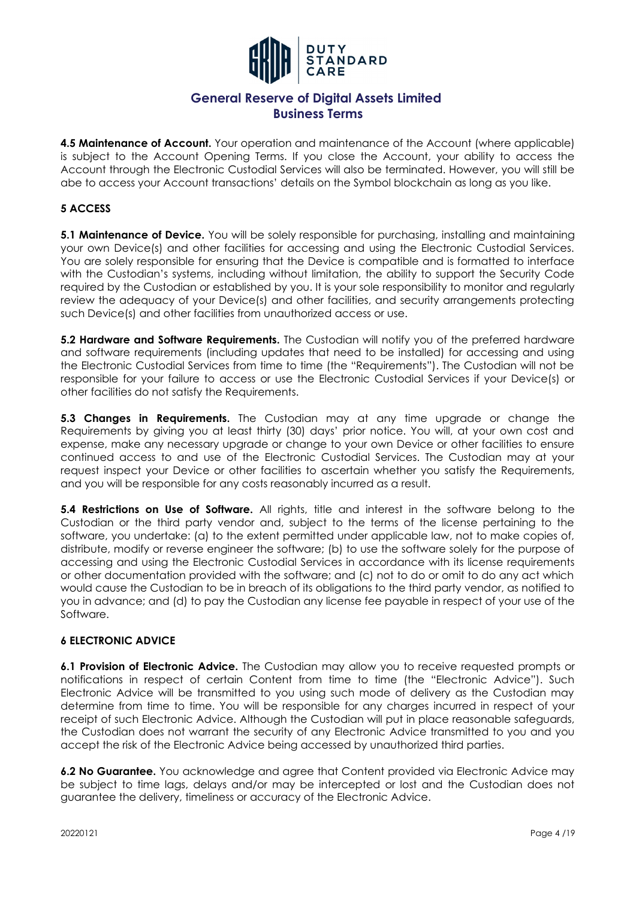

**4.5 Maintenance of Account.** Your operation and maintenance of the Account (where applicable) is subject to the Account Opening Terms. If you close the Account, your ability to access the Account through the Electronic Custodial Services will also be terminated. However, you will still be abe to access your Account transactions' details on the Symbol blockchain as long as you like.

### **5 ACCESS**

**5.1 Maintenance of Device.** You will be solely responsible for purchasing, installing and maintaining your own Device(s) and other facilities for accessing and using the Electronic Custodial Services. You are solely responsible for ensuring that the Device is compatible and is formatted to interface with the Custodian's systems, including without limitation, the ability to support the Security Code required by the Custodian or established by you. It is your sole responsibility to monitor and regularly review the adequacy of your Device(s) and other facilities, and security arrangements protecting such Device(s) and other facilities from unauthorized access or use.

**5.2 Hardware and Software Requirements.** The Custodian will notify you of the preferred hardware and software requirements (including updates that need to be installed) for accessing and using the Electronic Custodial Services from time to time (the "Requirements"). The Custodian will not be responsible for your failure to access or use the Electronic Custodial Services if your Device(s) or other facilities do not satisfy the Requirements.

**5.3 Changes in Requirements.** The Custodian may at any time upgrade or change the Requirements by giving you at least thirty (30) days' prior notice. You will, at your own cost and expense, make any necessary upgrade or change to your own Device or other facilities to ensure continued access to and use of the Electronic Custodial Services. The Custodian may at your request inspect your Device or other facilities to ascertain whether you satisfy the Requirements, and you will be responsible for any costs reasonably incurred as a result.

**5.4 Restrictions on Use of Software.** All rights, title and interest in the software belong to the Custodian or the third party vendor and, subject to the terms of the license pertaining to the software, you undertake: (a) to the extent permitted under applicable law, not to make copies of, distribute, modify or reverse engineer the software; (b) to use the software solely for the purpose of accessing and using the Electronic Custodial Services in accordance with its license requirements or other documentation provided with the software; and (c) not to do or omit to do any act which would cause the Custodian to be in breach of its obligations to the third party vendor, as notified to you in advance; and (d) to pay the Custodian any license fee payable in respect of your use of the Software.

#### **6 ELECTRONIC ADVICE**

**6.1 Provision of Electronic Advice.** The Custodian may allow you to receive requested prompts or notifications in respect of certain Content from time to time (the "Electronic Advice"). Such Electronic Advice will be transmitted to you using such mode of delivery as the Custodian may determine from time to time. You will be responsible for any charges incurred in respect of your receipt of such Electronic Advice. Although the Custodian will put in place reasonable safeguards, the Custodian does not warrant the security of any Electronic Advice transmitted to you and you accept the risk of the Electronic Advice being accessed by unauthorized third parties.

**6.2 No Guarantee.** You acknowledge and agree that Content provided via Electronic Advice may be subject to time lags, delays and/or may be intercepted or lost and the Custodian does not guarantee the delivery, timeliness or accuracy of the Electronic Advice.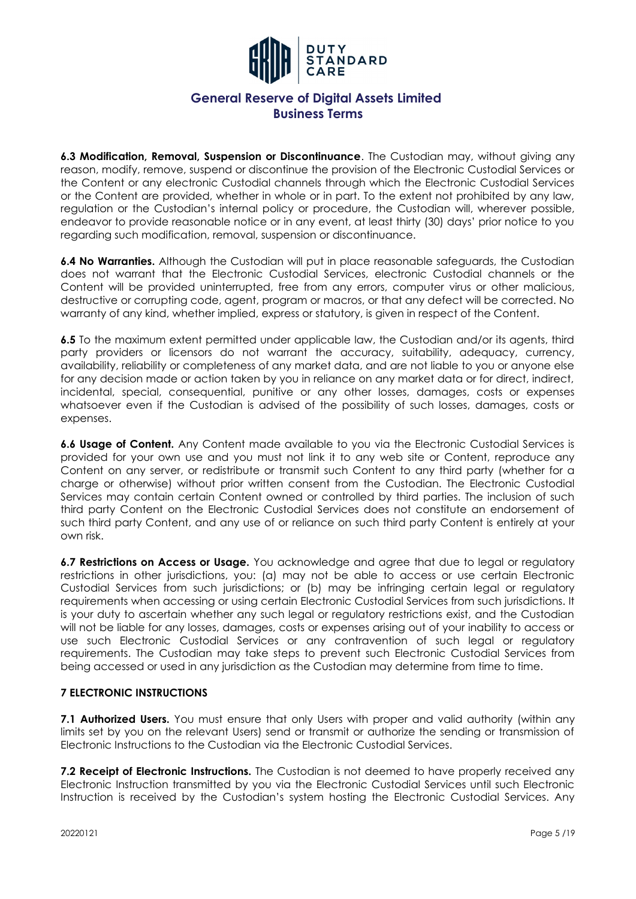

**6.3 Modification, Removal, Suspension or Discontinuance**. The Custodian may, without giving any reason, modify, remove, suspend or discontinue the provision of the Electronic Custodial Services or the Content or any electronic Custodial channels through which the Electronic Custodial Services or the Content are provided, whether in whole or in part. To the extent not prohibited by any law, regulation or the Custodian's internal policy or procedure, the Custodian will, wherever possible, endeavor to provide reasonable notice or in any event, at least thirty (30) days' prior notice to you regarding such modification, removal, suspension or discontinuance.

**6.4 No Warranties.** Although the Custodian will put in place reasonable safeguards, the Custodian does not warrant that the Electronic Custodial Services, electronic Custodial channels or the Content will be provided uninterrupted, free from any errors, computer virus or other malicious, destructive or corrupting code, agent, program or macros, or that any defect will be corrected. No warranty of any kind, whether implied, express or statutory, is given in respect of the Content.

**6.5** To the maximum extent permitted under applicable law, the Custodian and/or its agents, third party providers or licensors do not warrant the accuracy, suitability, adequacy, currency, availability, reliability or completeness of any market data, and are not liable to you or anyone else for any decision made or action taken by you in reliance on any market data or for direct, indirect, incidental, special, consequential, punitive or any other losses, damages, costs or expenses whatsoever even if the Custodian is advised of the possibility of such losses, damages, costs or expenses.

**6.6 Usage of Content.** Any Content made available to you via the Electronic Custodial Services is provided for your own use and you must not link it to any web site or Content, reproduce any Content on any server, or redistribute or transmit such Content to any third party (whether for a charge or otherwise) without prior written consent from the Custodian. The Electronic Custodial Services may contain certain Content owned or controlled by third parties. The inclusion of such third party Content on the Electronic Custodial Services does not constitute an endorsement of such third party Content, and any use of or reliance on such third party Content is entirely at your own risk.

**6.7 Restrictions on Access or Usage.** You acknowledge and agree that due to legal or regulatory restrictions in other jurisdictions, you: (a) may not be able to access or use certain Electronic Custodial Services from such jurisdictions; or (b) may be infringing certain legal or regulatory requirements when accessing or using certain Electronic Custodial Services from such jurisdictions. It is your duty to ascertain whether any such legal or regulatory restrictions exist, and the Custodian will not be liable for any losses, damages, costs or expenses arising out of your inability to access or use such Electronic Custodial Services or any contravention of such legal or regulatory requirements. The Custodian may take steps to prevent such Electronic Custodial Services from being accessed or used in any jurisdiction as the Custodian may determine from time to time.

### **7 ELECTRONIC INSTRUCTIONS**

**7.1 Authorized Users.** You must ensure that only Users with proper and valid authority (within any limits set by you on the relevant Users) send or transmit or authorize the sending or transmission of Electronic Instructions to the Custodian via the Electronic Custodial Services.

**7.2 Receipt of Electronic Instructions.** The Custodian is not deemed to have properly received any Electronic Instruction transmitted by you via the Electronic Custodial Services until such Electronic Instruction is received by the Custodian's system hosting the Electronic Custodial Services. Any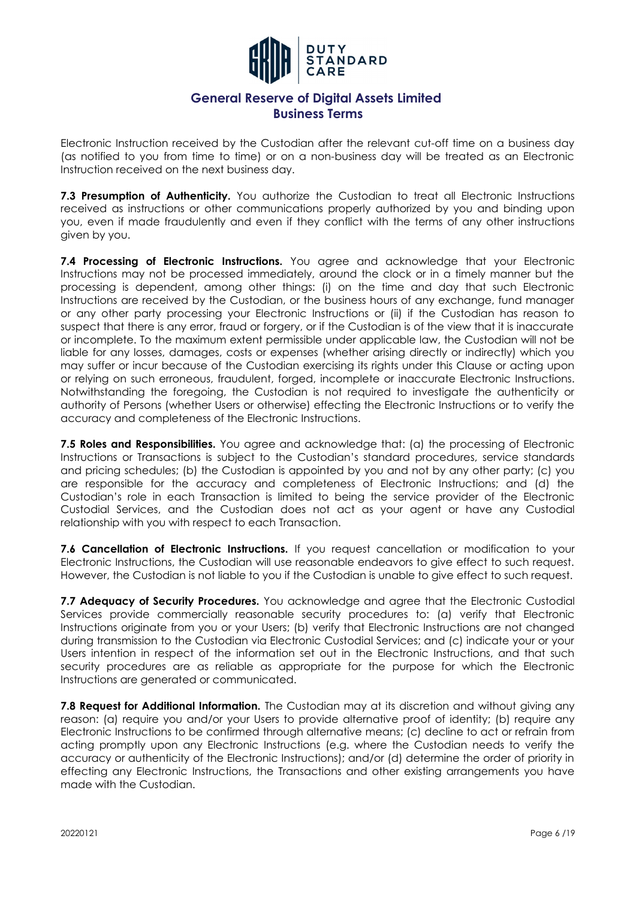

Electronic Instruction received by the Custodian after the relevant cut-off time on a business day (as notified to you from time to time) or on a non-business day will be treated as an Electronic Instruction received on the next business day.

**7.3 Presumption of Authenticity.** You authorize the Custodian to treat all Electronic Instructions received as instructions or other communications properly authorized by you and binding upon you, even if made fraudulently and even if they conflict with the terms of any other instructions given by you.

**7.4 Processing of Electronic Instructions.** You agree and acknowledge that your Electronic Instructions may not be processed immediately, around the clock or in a timely manner but the processing is dependent, among other things: (i) on the time and day that such Electronic Instructions are received by the Custodian, or the business hours of any exchange, fund manager or any other party processing your Electronic Instructions or (ii) if the Custodian has reason to suspect that there is any error, fraud or forgery, or if the Custodian is of the view that it is inaccurate or incomplete. To the maximum extent permissible under applicable law, the Custodian will not be liable for any losses, damages, costs or expenses (whether arising directly or indirectly) which you may suffer or incur because of the Custodian exercising its rights under this Clause or acting upon or relying on such erroneous, fraudulent, forged, incomplete or inaccurate Electronic Instructions. Notwithstanding the foregoing, the Custodian is not required to investigate the authenticity or authority of Persons (whether Users or otherwise) effecting the Electronic Instructions or to verify the accuracy and completeness of the Electronic Instructions.

**7.5 Roles and Responsibilities.** You agree and acknowledge that: (a) the processing of Electronic Instructions or Transactions is subject to the Custodian's standard procedures, service standards and pricing schedules; (b) the Custodian is appointed by you and not by any other party; (c) you are responsible for the accuracy and completeness of Electronic Instructions; and (d) the Custodian's role in each Transaction is limited to being the service provider of the Electronic Custodial Services, and the Custodian does not act as your agent or have any Custodial relationship with you with respect to each Transaction.

7.6 Cancellation of Electronic Instructions. If you request cancellation or modification to your Electronic Instructions, the Custodian will use reasonable endeavors to give effect to such request. However, the Custodian is not liable to you if the Custodian is unable to give effect to such request.

7.7 Adequacy of Security Procedures. You acknowledge and agree that the Electronic Custodial Services provide commercially reasonable security procedures to: (a) verify that Electronic Instructions originate from you or your Users; (b) verify that Electronic Instructions are not changed during transmission to the Custodian via Electronic Custodial Services; and (c) indicate your or your Users intention in respect of the information set out in the Electronic Instructions, and that such security procedures are as reliable as appropriate for the purpose for which the Electronic Instructions are generated or communicated.

**7.8 Request for Additional Information.** The Custodian may at its discretion and without giving any reason: (a) require you and/or your Users to provide alternative proof of identity; (b) require any Electronic Instructions to be confirmed through alternative means; (c) decline to act or refrain from acting promptly upon any Electronic Instructions (e.g. where the Custodian needs to verify the accuracy or authenticity of the Electronic Instructions); and/or (d) determine the order of priority in effecting any Electronic Instructions, the Transactions and other existing arrangements you have made with the Custodian.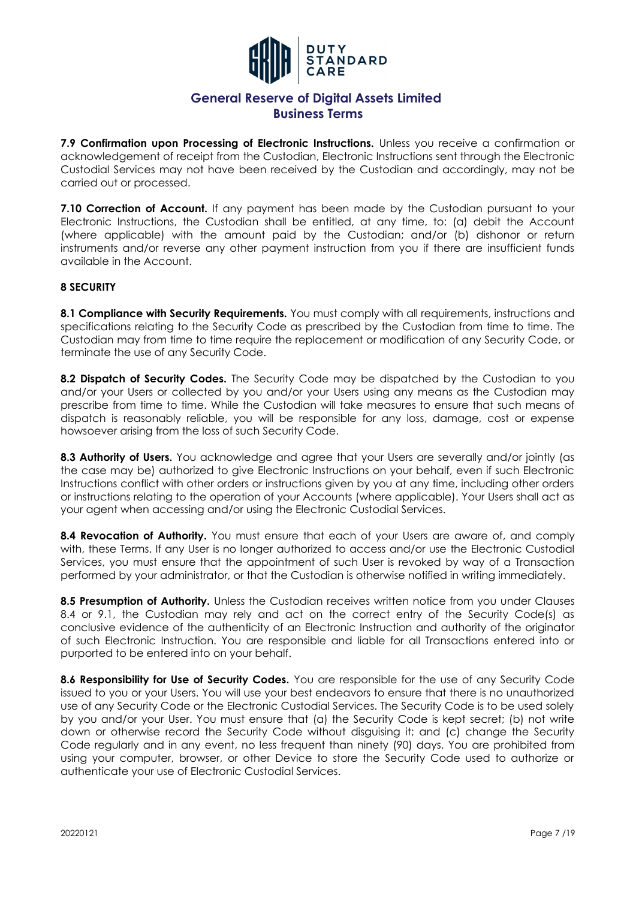

**7.9 Confirmation upon Processing of Electronic Instructions.** Unless you receive a confirmation or acknowledgement of receipt from the Custodian, Electronic Instructions sent through the Electronic Custodial Services may not have been received by the Custodian and accordingly, may not be carried out or processed.

**7.10 Correction of Account.** If any payment has been made by the Custodian pursuant to your Electronic Instructions, the Custodian shall be entitled, at any time, to: (a) debit the Account (where applicable) with the amount paid by the Custodian; and/or (b) dishonor or return instruments and/or reverse any other payment instruction from you if there are insufficient funds available in the Account.

### **8 SECURITY**

**8.1 Compliance with Security Requirements.** You must comply with all requirements, instructions and specifications relating to the Security Code as prescribed by the Custodian from time to time. The Custodian may from time to time require the replacement or modification of any Security Code, or terminate the use of any Security Code.

8.2 Dispatch of Security Codes. The Security Code may be dispatched by the Custodian to you and/or your Users or collected by you and/or your Users using any means as the Custodian may prescribe from time to time. While the Custodian will take measures to ensure that such means of dispatch is reasonably reliable, you will be responsible for any loss, damage, cost or expense howsoever arising from the loss of such Security Code.

8.3 Authority of Users. You acknowledge and agree that your Users are severally and/or jointly (as the case may be) authorized to give Electronic Instructions on your behalf, even if such Electronic Instructions conflict with other orders or instructions given by you at any time, including other orders or instructions relating to the operation of your Accounts (where applicable). Your Users shall act as your agent when accessing and/or using the Electronic Custodial Services.

**8.4 Revocation of Authority.** You must ensure that each of your Users are aware of, and comply with, these Terms. If any User is no longer authorized to access and/or use the Electronic Custodial Services, you must ensure that the appointment of such User is revoked by way of a Transaction performed by your administrator, or that the Custodian is otherwise notified in writing immediately.

**8.5 Presumption of Authority.** Unless the Custodian receives written notice from you under Clauses 8.4 or 9.1, the Custodian may rely and act on the correct entry of the Security Code(s) as conclusive evidence of the authenticity of an Electronic Instruction and authority of the originator of such Electronic Instruction. You are responsible and liable for all Transactions entered into or purported to be entered into on your behalf.

8.6 Responsibility for Use of Security Codes. You are responsible for the use of any Security Code issued to you or your Users. You will use your best endeavors to ensure that there is no unauthorized use of any Security Code or the Electronic Custodial Services. The Security Code is to be used solely by you and/or your User. You must ensure that (a) the Security Code is kept secret; (b) not write down or otherwise record the Security Code without disguising it; and (c) change the Security Code regularly and in any event, no less frequent than ninety (90) days. You are prohibited from using your computer, browser, or other Device to store the Security Code used to authorize or authenticate your use of Electronic Custodial Services.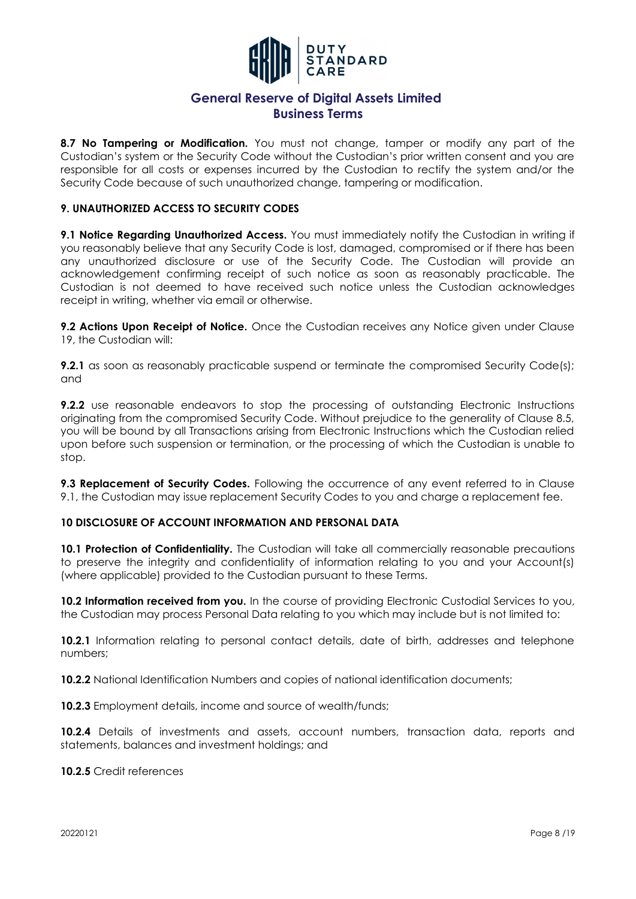

**8.7 No Tampering or Modification.** You must not change, tamper or modify any part of the Custodian's system or the Security Code without the Custodian's prior written consent and you are responsible for all costs or expenses incurred by the Custodian to rectify the system and/or the Security Code because of such unauthorized change, tampering or modification.

### **9. UNAUTHORIZED ACCESS TO SECURITY CODES**

**9.1 Notice Regarding Unauthorized Access.** You must immediately notify the Custodian in writing if you reasonably believe that any Security Code is lost, damaged, compromised or if there has been any unauthorized disclosure or use of the Security Code. The Custodian will provide an acknowledgement confirming receipt of such notice as soon as reasonably practicable. The Custodian is not deemed to have received such notice unless the Custodian acknowledges receipt in writing, whether via email or otherwise.

**9.2 Actions Upon Receipt of Notice.** Once the Custodian receives any Notice given under Clause 19, the Custodian will:

**9.2.1** as soon as reasonably practicable suspend or terminate the compromised Security Code(s); and

**9.2.2** use reasonable endeavors to stop the processing of outstanding Electronic Instructions originating from the compromised Security Code. Without prejudice to the generality of Clause 8.5, you will be bound by all Transactions arising from Electronic Instructions which the Custodian relied upon before such suspension or termination, or the processing of which the Custodian is unable to stop.

**9.3 Replacement of Security Codes.** Following the occurrence of any event referred to in Clause 9.1, the Custodian may issue replacement Security Codes to you and charge a replacement fee.

#### **10 DISCLOSURE OF ACCOUNT INFORMATION AND PERSONAL DATA**

**10.1 Protection of Confidentiality.** The Custodian will take all commercially reasonable precautions to preserve the integrity and confidentiality of information relating to you and your Account(s) (where applicable) provided to the Custodian pursuant to these Terms.

**10.2 Information received from you.** In the course of providing Electronic Custodial Services to you, the Custodian may process Personal Data relating to you which may include but is not limited to:

**10.2.1** Information relating to personal contact details, date of birth, addresses and telephone numbers;

**10.2.2** National Identification Numbers and copies of national identification documents;

**10.2.3** Employment details, income and source of wealth/funds;

**10.2.4** Details of investments and assets, account numbers, transaction data, reports and statements, balances and investment holdings; and

**10.2.5** Credit references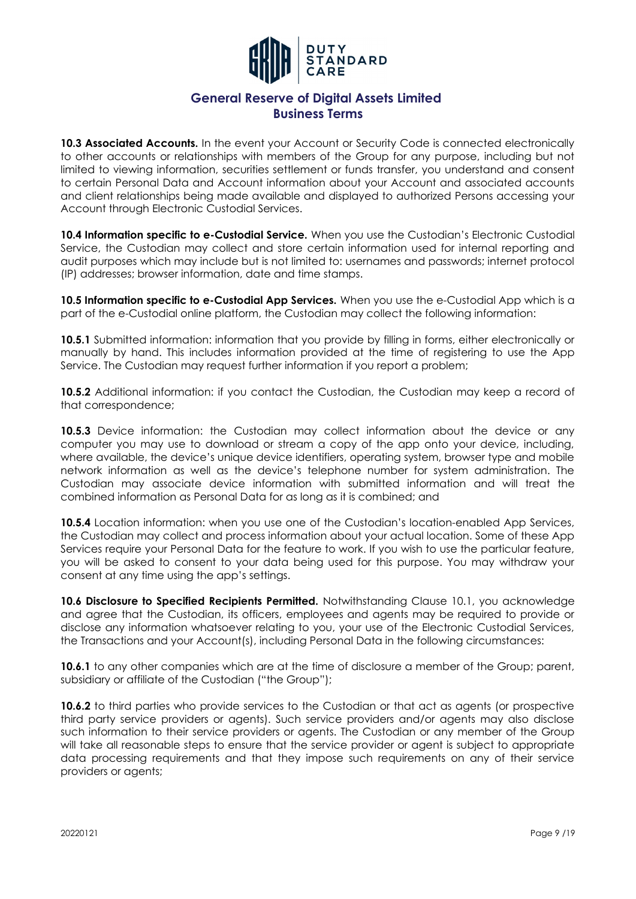

**10.3 Associated Accounts.** In the event your Account or Security Code is connected electronically to other accounts or relationships with members of the Group for any purpose, including but not limited to viewing information, securities settlement or funds transfer, you understand and consent to certain Personal Data and Account information about your Account and associated accounts and client relationships being made available and displayed to authorized Persons accessing your Account through Electronic Custodial Services.

**10.4 Information specific to e-Custodial Service.** When you use the Custodian's Electronic Custodial Service, the Custodian may collect and store certain information used for internal reporting and audit purposes which may include but is not limited to: usernames and passwords; internet protocol (IP) addresses; browser information, date and time stamps.

**10.5 Information specific to e-Custodial App Services.** When you use the e-Custodial App which is a part of the e-Custodial online platform, the Custodian may collect the following information:

**10.5.1** Submitted information: information that you provide by filling in forms, either electronically or manually by hand. This includes information provided at the time of registering to use the App Service. The Custodian may request further information if you report a problem;

**10.5.2** Additional information: if you contact the Custodian, the Custodian may keep a record of that correspondence;

**10.5.3** Device information: the Custodian may collect information about the device or any computer you may use to download or stream a copy of the app onto your device, including, where available, the device's unique device identifiers, operating system, browser type and mobile network information as well as the device's telephone number for system administration. The Custodian may associate device information with submitted information and will treat the combined information as Personal Data for as long as it is combined; and

**10.5.4** Location information: when you use one of the Custodian's location-enabled App Services, the Custodian may collect and process information about your actual location. Some of these App Services require your Personal Data for the feature to work. If you wish to use the particular feature, you will be asked to consent to your data being used for this purpose. You may withdraw your consent at any time using the app's settings.

10.6 Disclosure to Specified Recipients Permitted. Notwithstanding Clause 10.1, you acknowledge and agree that the Custodian, its officers, employees and agents may be required to provide or disclose any information whatsoever relating to you, your use of the Electronic Custodial Services, the Transactions and your Account(s), including Personal Data in the following circumstances:

**10.6.1** to any other companies which are at the time of disclosure a member of the Group; parent, subsidiary or affiliate of the Custodian ("the Group");

**10.6.2** to third parties who provide services to the Custodian or that act as agents (or prospective third party service providers or agents). Such service providers and/or agents may also disclose such information to their service providers or agents. The Custodian or any member of the Group will take all reasonable steps to ensure that the service provider or agent is subject to appropriate data processing requirements and that they impose such requirements on any of their service providers or agents;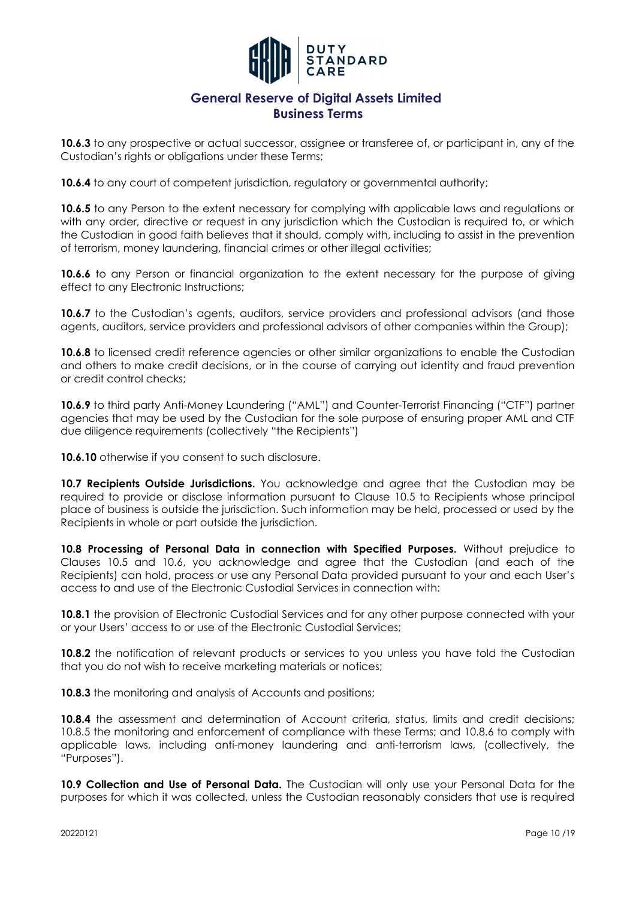

**10.6.3** to any prospective or actual successor, assignee or transferee of, or participant in, any of the Custodian's rights or obligations under these Terms;

**10.6.4** to any court of competent jurisdiction, regulatory or governmental authority;

**10.6.5** to any Person to the extent necessary for complying with applicable laws and regulations or with any order, directive or request in any jurisdiction which the Custodian is required to, or which the Custodian in good faith believes that it should, comply with, including to assist in the prevention of terrorism, money laundering, financial crimes or other illegal activities;

**10.6.6** to any Person or financial organization to the extent necessary for the purpose of giving effect to any Electronic Instructions;

**10.6.7** to the Custodian's agents, auditors, service providers and professional advisors (and those agents, auditors, service providers and professional advisors of other companies within the Group);

**10.6.8** to licensed credit reference agencies or other similar organizations to enable the Custodian and others to make credit decisions, or in the course of carrying out identity and fraud prevention or credit control checks;

**10.6.9** to third party Anti-Money Laundering ("AML") and Counter-Terrorist Financing ("CTF") partner agencies that may be used by the Custodian for the sole purpose of ensuring proper AML and CTF due diligence requirements (collectively "the Recipients")

**10.6.10** otherwise if you consent to such disclosure.

10.7 Recipients Outside Jurisdictions. You acknowledge and agree that the Custodian may be required to provide or disclose information pursuant to Clause 10.5 to Recipients whose principal place of business is outside the jurisdiction. Such information may be held, processed or used by the Recipients in whole or part outside the jurisdiction.

**10.8 Processing of Personal Data in connection with Specified Purposes.** Without prejudice to Clauses 10.5 and 10.6, you acknowledge and agree that the Custodian (and each of the Recipients) can hold, process or use any Personal Data provided pursuant to your and each User's access to and use of the Electronic Custodial Services in connection with:

**10.8.1** the provision of Electronic Custodial Services and for any other purpose connected with your or your Users' access to or use of the Electronic Custodial Services;

**10.8.2** the notification of relevant products or services to you unless you have told the Custodian that you do not wish to receive marketing materials or notices;

**10.8.3** the monitoring and analysis of Accounts and positions;

**10.8.4** the assessment and determination of Account criteria, status, limits and credit decisions; 10.8.5 the monitoring and enforcement of compliance with these Terms; and 10.8.6 to comply with applicable laws, including anti-money laundering and anti-terrorism laws, (collectively, the "Purposes").

**10.9 Collection and Use of Personal Data.** The Custodian will only use your Personal Data for the purposes for which it was collected, unless the Custodian reasonably considers that use is required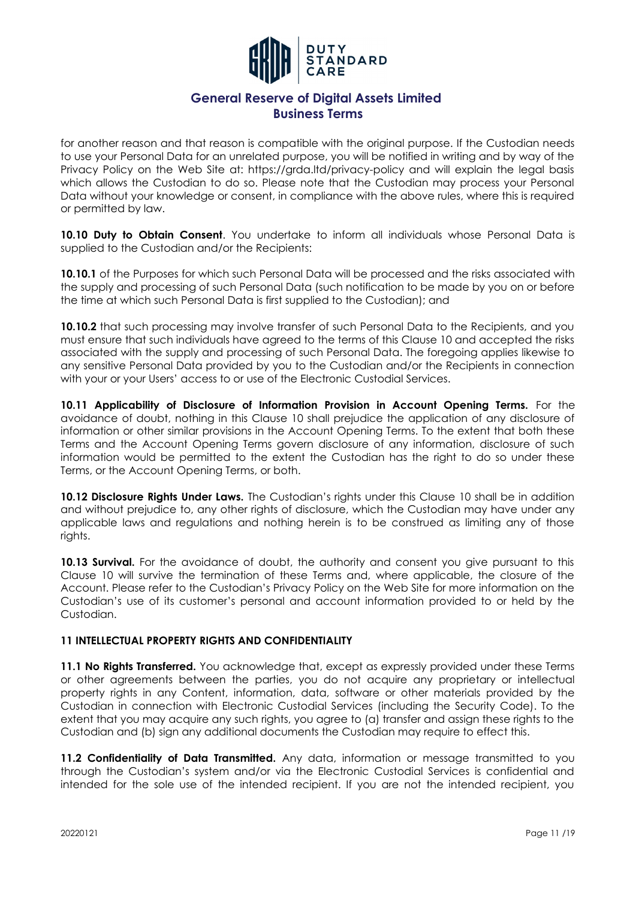

for another reason and that reason is compatible with the original purpose. If the Custodian needs to use your Personal Data for an unrelated purpose, you will be notified in writing and by way of the Privacy Policy on the Web Site at: https://grda.ltd/privacy-policy and will explain the legal basis which allows the Custodian to do so. Please note that the Custodian may process your Personal Data without your knowledge or consent, in compliance with the above rules, where this is required or permitted by law.

10.10 Duty to Obtain Consent. You undertake to inform all individuals whose Personal Data is supplied to the Custodian and/or the Recipients:

**10.10.1** of the Purposes for which such Personal Data will be processed and the risks associated with the supply and processing of such Personal Data (such notification to be made by you on or before the time at which such Personal Data is first supplied to the Custodian); and

**10.10.2** that such processing may involve transfer of such Personal Data to the Recipients, and you must ensure that such individuals have agreed to the terms of this Clause 10 and accepted the risks associated with the supply and processing of such Personal Data. The foregoing applies likewise to any sensitive Personal Data provided by you to the Custodian and/or the Recipients in connection with your or your Users' access to or use of the Electronic Custodial Services.

**10.11 Applicability of Disclosure of Information Provision in Account Opening Terms.** For the avoidance of doubt, nothing in this Clause 10 shall prejudice the application of any disclosure of information or other similar provisions in the Account Opening Terms. To the extent that both these Terms and the Account Opening Terms govern disclosure of any information, disclosure of such information would be permitted to the extent the Custodian has the right to do so under these Terms, or the Account Opening Terms, or both.

10.12 Disclosure Rights Under Laws. The Custodian's rights under this Clause 10 shall be in addition and without prejudice to, any other rights of disclosure, which the Custodian may have under any applicable laws and regulations and nothing herein is to be construed as limiting any of those rights.

**10.13 Survival.** For the avoidance of doubt, the authority and consent you give pursuant to this Clause 10 will survive the termination of these Terms and, where applicable, the closure of the Account. Please refer to the Custodian's Privacy Policy on the Web Site for more information on the Custodian's use of its customer's personal and account information provided to or held by the Custodian.

#### **11 INTELLECTUAL PROPERTY RIGHTS AND CONFIDENTIALITY**

**11.1 No Rights Transferred.** You acknowledge that, except as expressly provided under these Terms or other agreements between the parties, you do not acquire any proprietary or intellectual property rights in any Content, information, data, software or other materials provided by the Custodian in connection with Electronic Custodial Services (including the Security Code). To the extent that you may acquire any such rights, you agree to (a) transfer and assign these rights to the Custodian and (b) sign any additional documents the Custodian may require to effect this.

**11.2 Confidentiality of Data Transmitted.** Any data, information or message transmitted to you through the Custodian's system and/or via the Electronic Custodial Services is confidential and intended for the sole use of the intended recipient. If you are not the intended recipient, you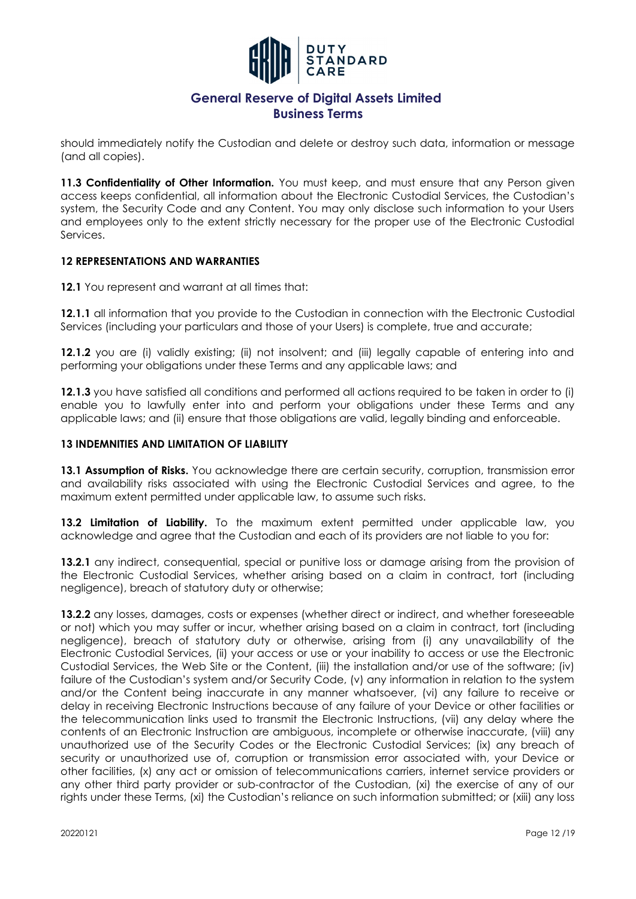

should immediately notify the Custodian and delete or destroy such data, information or message (and all copies).

**11.3 Confidentiality of Other Information.** You must keep, and must ensure that any Person given access keeps confidential, all information about the Electronic Custodial Services, the Custodian's system, the Security Code and any Content. You may only disclose such information to your Users and employees only to the extent strictly necessary for the proper use of the Electronic Custodial Services.

#### **12 REPRESENTATIONS AND WARRANTIES**

**12.1** You represent and warrant at all times that:

**12.1.1** all information that you provide to the Custodian in connection with the Electronic Custodial Services (including your particulars and those of your Users) is complete, true and accurate;

**12.1.2** you are (i) validly existing; (ii) not insolvent; and (iii) legally capable of entering into and performing your obligations under these Terms and any applicable laws; and

**12.1.3** you have satisfied all conditions and performed all actions required to be taken in order to (i) enable you to lawfully enter into and perform your obligations under these Terms and any applicable laws; and (ii) ensure that those obligations are valid, legally binding and enforceable.

### **13 INDEMNITIES AND LIMITATION OF LIABILITY**

13.1 Assumption of Risks. You acknowledge there are certain security, corruption, transmission error and availability risks associated with using the Electronic Custodial Services and agree, to the maximum extent permitted under applicable law, to assume such risks.

**13.2 Limitation of Liability.** To the maximum extent permitted under applicable law, you acknowledge and agree that the Custodian and each of its providers are not liable to you for:

**13.2.1** any indirect, consequential, special or punitive loss or damage arising from the provision of the Electronic Custodial Services, whether arising based on a claim in contract, tort (including negligence), breach of statutory duty or otherwise;

**13.2.2** any losses, damages, costs or expenses (whether direct or indirect, and whether foreseeable or not) which you may suffer or incur, whether arising based on a claim in contract, tort (including negligence), breach of statutory duty or otherwise, arising from (i) any unavailability of the Electronic Custodial Services, (ii) your access or use or your inability to access or use the Electronic Custodial Services, the Web Site or the Content, (iii) the installation and/or use of the software; (iv) failure of the Custodian's system and/or Security Code, (v) any information in relation to the system and/or the Content being inaccurate in any manner whatsoever, (vi) any failure to receive or delay in receiving Electronic Instructions because of any failure of your Device or other facilities or the telecommunication links used to transmit the Electronic Instructions, (vii) any delay where the contents of an Electronic Instruction are ambiguous, incomplete or otherwise inaccurate, (viii) any unauthorized use of the Security Codes or the Electronic Custodial Services; (ix) any breach of security or unauthorized use of, corruption or transmission error associated with, your Device or other facilities, (x) any act or omission of telecommunications carriers, internet service providers or any other third party provider or sub-contractor of the Custodian, (xi) the exercise of any of our rights under these Terms, (xi) the Custodian's reliance on such information submitted; or (xiii) any loss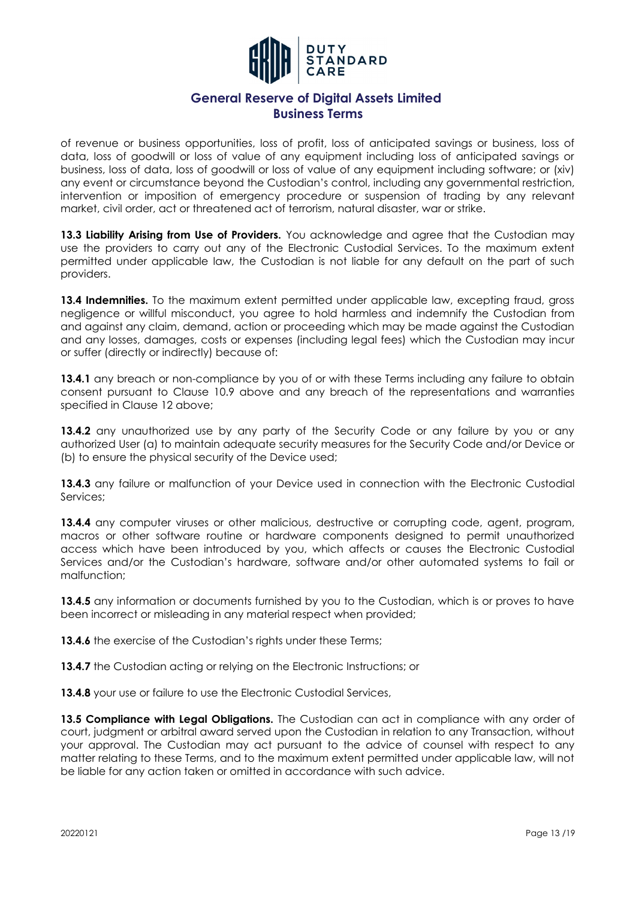

of revenue or business opportunities, loss of profit, loss of anticipated savings or business, loss of data, loss of goodwill or loss of value of any equipment including loss of anticipated savings or business, loss of data, loss of goodwill or loss of value of any equipment including software; or (xiv) any event or circumstance beyond the Custodian's control, including any governmental restriction, intervention or imposition of emergency procedure or suspension of trading by any relevant market, civil order, act or threatened act of terrorism, natural disaster, war or strike.

13.3 Liability Arising from Use of Providers. You acknowledge and agree that the Custodian may use the providers to carry out any of the Electronic Custodial Services. To the maximum extent permitted under applicable law, the Custodian is not liable for any default on the part of such providers.

**13.4 Indemnities.** To the maximum extent permitted under applicable law, excepting fraud, gross negligence or willful misconduct, you agree to hold harmless and indemnify the Custodian from and against any claim, demand, action or proceeding which may be made against the Custodian and any losses, damages, costs or expenses (including legal fees) which the Custodian may incur or suffer (directly or indirectly) because of:

13.4.1 any breach or non-compliance by you of or with these Terms including any failure to obtain consent pursuant to Clause 10.9 above and any breach of the representations and warranties specified in Clause 12 above;

**13.4.2** any unauthorized use by any party of the Security Code or any failure by you or any authorized User (a) to maintain adequate security measures for the Security Code and/or Device or (b) to ensure the physical security of the Device used;

13.4.3 any failure or malfunction of your Device used in connection with the Electronic Custodial Services;

**13.4.4** any computer viruses or other malicious, destructive or corrupting code, agent, program, macros or other software routine or hardware components designed to permit unauthorized access which have been introduced by you, which affects or causes the Electronic Custodial Services and/or the Custodian's hardware, software and/or other automated systems to fail or malfunction;

**13.4.5** any information or documents furnished by you to the Custodian, which is or proves to have been incorrect or misleading in any material respect when provided;

**13.4.6** the exercise of the Custodian's rights under these Terms;

**13.4.7** the Custodian acting or relying on the Electronic Instructions; or

13.4.8 your use or failure to use the Electronic Custodial Services,

**13.5 Compliance with Legal Obligations.** The Custodian can act in compliance with any order of court, judgment or arbitral award served upon the Custodian in relation to any Transaction, without your approval. The Custodian may act pursuant to the advice of counsel with respect to any matter relating to these Terms, and to the maximum extent permitted under applicable law, will not be liable for any action taken or omitted in accordance with such advice.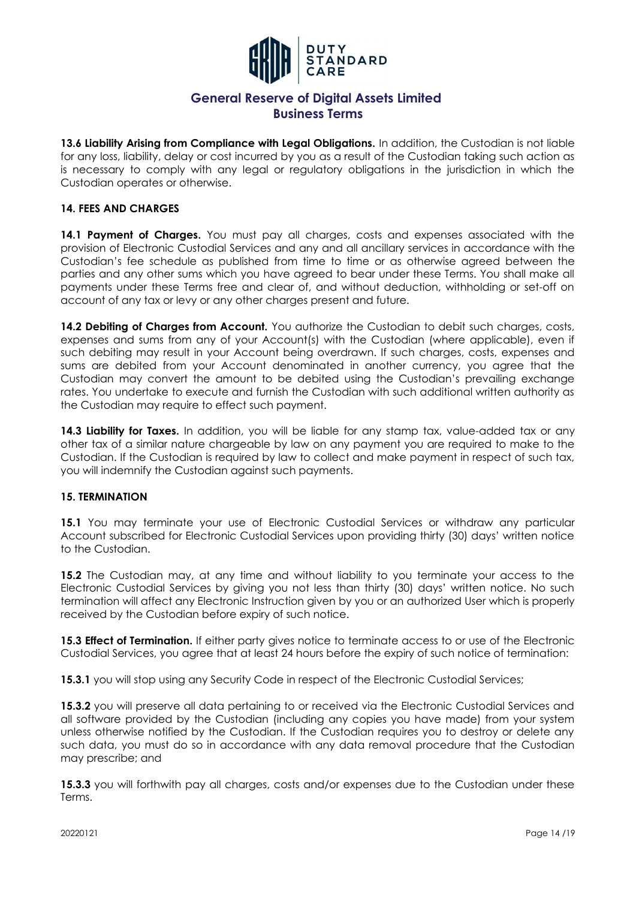

**13.6 Liability Arising from Compliance with Legal Obligations.** In addition, the Custodian is not liable for any loss, liability, delay or cost incurred by you as a result of the Custodian taking such action as is necessary to comply with any legal or regulatory obligations in the jurisdiction in which the Custodian operates or otherwise.

### **14. FEES AND CHARGES**

14.1 Payment of Charges. You must pay all charges, costs and expenses associated with the provision of Electronic Custodial Services and any and all ancillary services in accordance with the Custodian's fee schedule as published from time to time or as otherwise agreed between the parties and any other sums which you have agreed to bear under these Terms. You shall make all payments under these Terms free and clear of, and without deduction, withholding or set-off on account of any tax or levy or any other charges present and future.

**14.2 Debiting of Charges from Account.** You authorize the Custodian to debit such charges, costs, expenses and sums from any of your Account(s) with the Custodian (where applicable), even if such debiting may result in your Account being overdrawn. If such charges, costs, expenses and sums are debited from your Account denominated in another currency, you agree that the Custodian may convert the amount to be debited using the Custodian's prevailing exchange rates. You undertake to execute and furnish the Custodian with such additional written authority as the Custodian may require to effect such payment.

14.3 Liability for Taxes. In addition, you will be liable for any stamp tax, value-added tax or any other tax of a similar nature chargeable by law on any payment you are required to make to the Custodian. If the Custodian is required by law to collect and make payment in respect of such tax, you will indemnify the Custodian against such payments.

#### **15. TERMINATION**

**15.1** You may terminate your use of Electronic Custodial Services or withdraw any particular Account subscribed for Electronic Custodial Services upon providing thirty (30) days' written notice to the Custodian.

**15.2** The Custodian may, at any time and without liability to you terminate your access to the Electronic Custodial Services by giving you not less than thirty (30) days' written notice. No such termination will affect any Electronic Instruction given by you or an authorized User which is properly received by the Custodian before expiry of such notice.

**15.3 Effect of Termination.** If either party gives notice to terminate access to or use of the Electronic Custodial Services, you agree that at least 24 hours before the expiry of such notice of termination:

**15.3.1** you will stop using any Security Code in respect of the Electronic Custodial Services;

**15.3.2** you will preserve all data pertaining to or received via the Electronic Custodial Services and all software provided by the Custodian (including any copies you have made) from your system unless otherwise notified by the Custodian. If the Custodian requires you to destroy or delete any such data, you must do so in accordance with any data removal procedure that the Custodian may prescribe; and

**15.3.3** you will forthwith pay all charges, costs and/or expenses due to the Custodian under these Terms.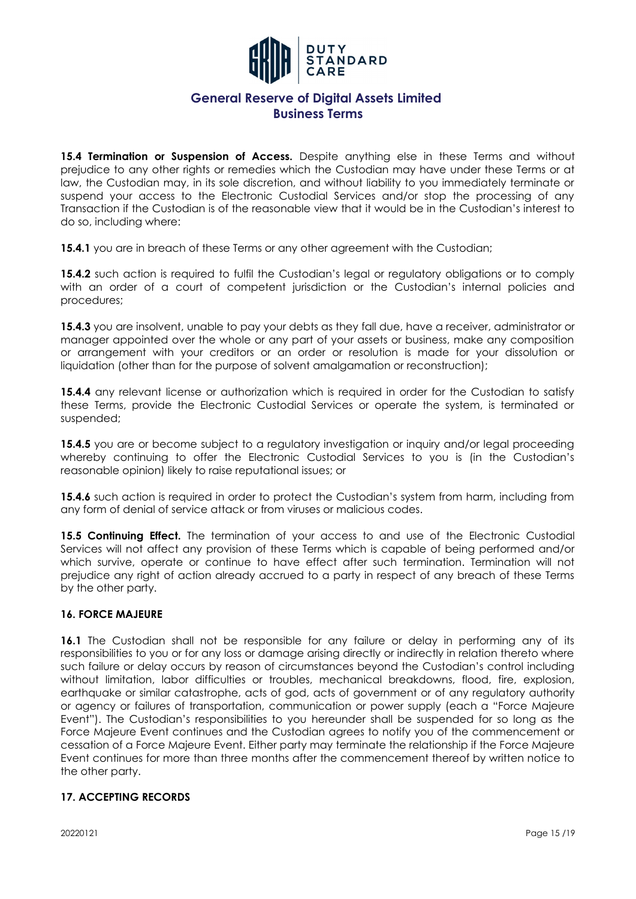

**15.4 Termination or Suspension of Access.** Despite anything else in these Terms and without prejudice to any other rights or remedies which the Custodian may have under these Terms or at law, the Custodian may, in its sole discretion, and without liability to you immediately terminate or suspend your access to the Electronic Custodial Services and/or stop the processing of any Transaction if the Custodian is of the reasonable view that it would be in the Custodian's interest to do so, including where:

**15.4.1** you are in breach of these Terms or any other agreement with the Custodian;

**15.4.2** such action is required to fulfil the Custodian's legal or regulatory obligations or to comply with an order of a court of competent jurisdiction or the Custodian's internal policies and procedures;

**15.4.3** you are insolvent, unable to pay your debts as they fall due, have a receiver, administrator or manager appointed over the whole or any part of your assets or business, make any composition or arrangement with your creditors or an order or resolution is made for your dissolution or liquidation (other than for the purpose of solvent amalgamation or reconstruction);

**15.4.4** any relevant license or authorization which is required in order for the Custodian to satisfy these Terms, provide the Electronic Custodial Services or operate the system, is terminated or suspended;

**15.4.5** you are or become subject to a regulatory investigation or inquiry and/or legal proceeding whereby continuing to offer the Electronic Custodial Services to you is (in the Custodian's reasonable opinion) likely to raise reputational issues; or

**15.4.6** such action is required in order to protect the Custodian's system from harm, including from any form of denial of service attack or from viruses or malicious codes.

**15.5 Continuing Effect.** The termination of your access to and use of the Electronic Custodial Services will not affect any provision of these Terms which is capable of being performed and/or which survive, operate or continue to have effect after such termination. Termination will not prejudice any right of action already accrued to a party in respect of any breach of these Terms by the other party.

### **16. FORCE MAJEURE**

**16.1** The Custodian shall not be responsible for any failure or delay in performing any of its responsibilities to you or for any loss or damage arising directly or indirectly in relation thereto where such failure or delay occurs by reason of circumstances beyond the Custodian's control including without limitation, labor difficulties or troubles, mechanical breakdowns, flood, fire, explosion, earthquake or similar catastrophe, acts of god, acts of government or of any regulatory authority or agency or failures of transportation, communication or power supply (each a "Force Majeure Event"). The Custodian's responsibilities to you hereunder shall be suspended for so long as the Force Majeure Event continues and the Custodian agrees to notify you of the commencement or cessation of a Force Majeure Event. Either party may terminate the relationship if the Force Majeure Event continues for more than three months after the commencement thereof by written notice to the other party.

### **17. ACCEPTING RECORDS**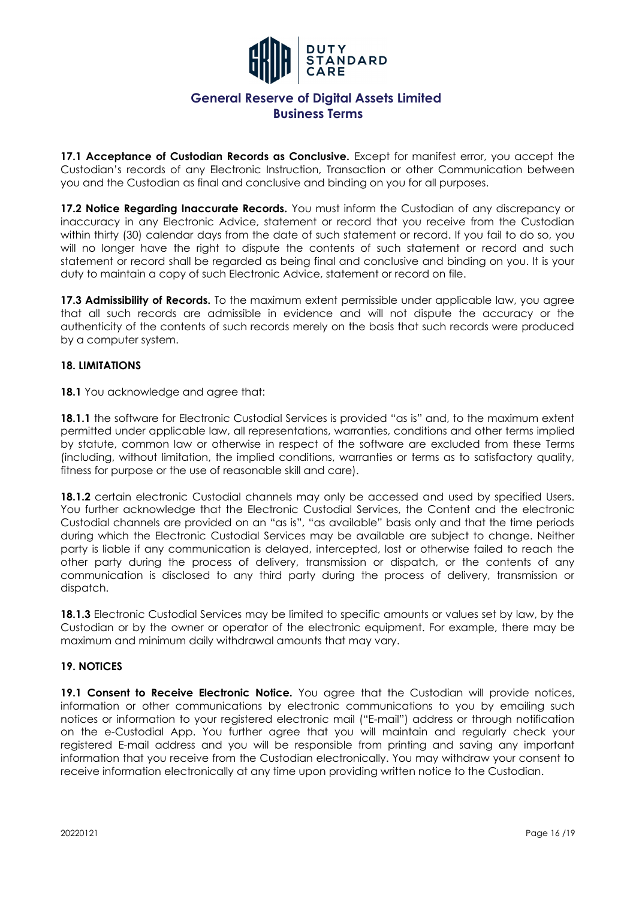

**17.1 Acceptance of Custodian Records as Conclusive.** Except for manifest error, you accept the Custodian's records of any Electronic Instruction, Transaction or other Communication between you and the Custodian as final and conclusive and binding on you for all purposes.

17.2 Notice Regarding Inaccurate Records. You must inform the Custodian of any discrepancy or inaccuracy in any Electronic Advice, statement or record that you receive from the Custodian within thirty (30) calendar days from the date of such statement or record. If you fail to do so, you will no longer have the right to dispute the contents of such statement or record and such statement or record shall be regarded as being final and conclusive and binding on you. It is your duty to maintain a copy of such Electronic Advice, statement or record on file.

**17.3 Admissibility of Records.** To the maximum extent permissible under applicable law, you agree that all such records are admissible in evidence and will not dispute the accuracy or the authenticity of the contents of such records merely on the basis that such records were produced by a computer system.

### **18. LIMITATIONS**

**18.1** You acknowledge and agree that:

**18.1.1** the software for Electronic Custodial Services is provided "as is" and, to the maximum extent permitted under applicable law, all representations, warranties, conditions and other terms implied by statute, common law or otherwise in respect of the software are excluded from these Terms (including, without limitation, the implied conditions, warranties or terms as to satisfactory quality, fitness for purpose or the use of reasonable skill and care).

18.1.2 certain electronic Custodial channels may only be accessed and used by specified Users. You further acknowledge that the Electronic Custodial Services, the Content and the electronic Custodial channels are provided on an "as is", "as available" basis only and that the time periods during which the Electronic Custodial Services may be available are subject to change. Neither party is liable if any communication is delayed, intercepted, lost or otherwise failed to reach the other party during the process of delivery, transmission or dispatch, or the contents of any communication is disclosed to any third party during the process of delivery, transmission or dispatch.

**18.1.3** Electronic Custodial Services may be limited to specific amounts or values set by law, by the Custodian or by the owner or operator of the electronic equipment. For example, there may be maximum and minimum daily withdrawal amounts that may vary.

#### **19. NOTICES**

19.1 Consent to Receive Electronic Notice. You agree that the Custodian will provide notices, information or other communications by electronic communications to you by emailing such notices or information to your registered electronic mail ("E-mail") address or through notification on the e-Custodial App. You further agree that you will maintain and regularly check your registered E-mail address and you will be responsible from printing and saving any important information that you receive from the Custodian electronically. You may withdraw your consent to receive information electronically at any time upon providing written notice to the Custodian.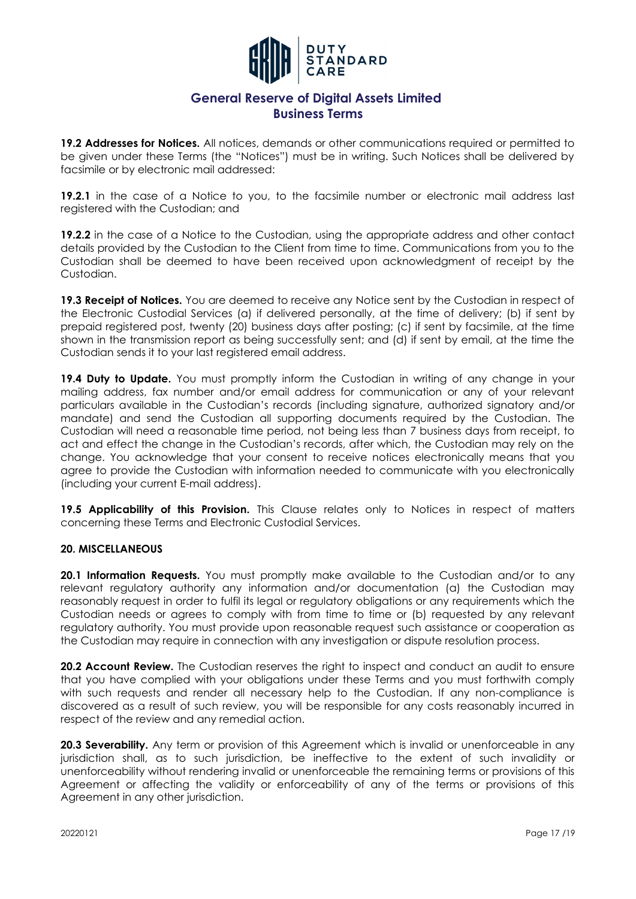

**19.2 Addresses for Notices.** All notices, demands or other communications required or permitted to be given under these Terms (the "Notices") must be in writing. Such Notices shall be delivered by facsimile or by electronic mail addressed:

**19.2.1** in the case of a Notice to you, to the facsimile number or electronic mail address last registered with the Custodian; and

**19.2.2** in the case of a Notice to the Custodian, using the appropriate address and other contact details provided by the Custodian to the Client from time to time. Communications from you to the Custodian shall be deemed to have been received upon acknowledgment of receipt by the Custodian.

19.3 Receipt of Notices. You are deemed to receive any Notice sent by the Custodian in respect of the Electronic Custodial Services (a) if delivered personally, at the time of delivery; (b) if sent by prepaid registered post, twenty (20) business days after posting; (c) if sent by facsimile, at the time shown in the transmission report as being successfully sent; and (d) if sent by email, at the time the Custodian sends it to your last registered email address.

19.4 Duty to Update. You must promptly inform the Custodian in writing of any change in your mailing address, fax number and/or email address for communication or any of your relevant particulars available in the Custodian's records (including signature, authorized signatory and/or mandate) and send the Custodian all supporting documents required by the Custodian. The Custodian will need a reasonable time period, not being less than 7 business days from receipt, to act and effect the change in the Custodian's records, after which, the Custodian may rely on the change. You acknowledge that your consent to receive notices electronically means that you agree to provide the Custodian with information needed to communicate with you electronically (including your current E-mail address).

**19.5 Applicability of this Provision.** This Clause relates only to Notices in respect of matters concerning these Terms and Electronic Custodial Services.

#### **20. MISCELLANEOUS**

**20.1 Information Requests.** You must promptly make available to the Custodian and/or to any relevant regulatory authority any information and/or documentation (a) the Custodian may reasonably request in order to fulfil its legal or regulatory obligations or any requirements which the Custodian needs or agrees to comply with from time to time or (b) requested by any relevant regulatory authority. You must provide upon reasonable request such assistance or cooperation as the Custodian may require in connection with any investigation or dispute resolution process.

**20.2 Account Review.** The Custodian reserves the right to inspect and conduct an audit to ensure that you have complied with your obligations under these Terms and you must forthwith comply with such requests and render all necessary help to the Custodian. If any non-compliance is discovered as a result of such review, you will be responsible for any costs reasonably incurred in respect of the review and any remedial action.

**20.3 Severability.** Any term or provision of this Agreement which is invalid or unenforceable in any jurisdiction shall, as to such jurisdiction, be ineffective to the extent of such invalidity or unenforceability without rendering invalid or unenforceable the remaining terms or provisions of this Agreement or affecting the validity or enforceability of any of the terms or provisions of this Agreement in any other jurisdiction.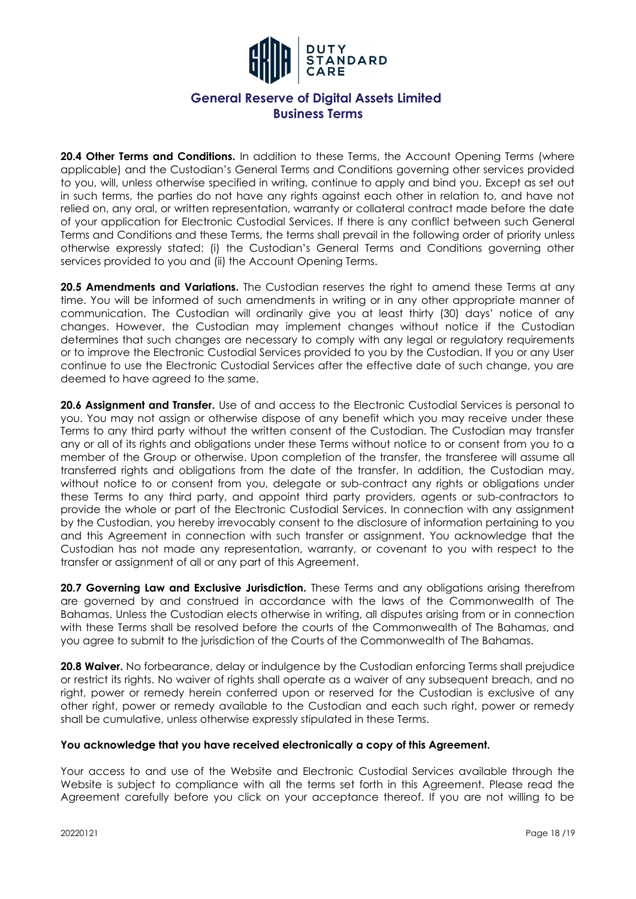

20.4 Other Terms and Conditions. In addition to these Terms, the Account Opening Terms (where applicable) and the Custodian's General Terms and Conditions governing other services provided to you, will, unless otherwise specified in writing, continue to apply and bind you. Except as set out in such terms, the parties do not have any rights against each other in relation to, and have not relied on, any oral, or written representation, warranty or collateral contract made before the date of your application for Electronic Custodial Services. If there is any conflict between such General Terms and Conditions and these Terms, the terms shall prevail in the following order of priority unless otherwise expressly stated: (i) the Custodian's General Terms and Conditions governing other services provided to you and (ii) the Account Opening Terms.

**20.5 Amendments and Variations.** The Custodian reserves the right to amend these Terms at any time. You will be informed of such amendments in writing or in any other appropriate manner of communication. The Custodian will ordinarily give you at least thirty (30) days' notice of any changes. However, the Custodian may implement changes without notice if the Custodian determines that such changes are necessary to comply with any legal or regulatory requirements or to improve the Electronic Custodial Services provided to you by the Custodian. If you or any User continue to use the Electronic Custodial Services after the effective date of such change, you are deemed to have agreed to the same.

**20.6 Assignment and Transfer.** Use of and access to the Electronic Custodial Services is personal to you. You may not assign or otherwise dispose of any benefit which you may receive under these Terms to any third party without the written consent of the Custodian. The Custodian may transfer any or all of its rights and obligations under these Terms without notice to or consent from you to a member of the Group or otherwise. Upon completion of the transfer, the transferee will assume all transferred rights and obligations from the date of the transfer. In addition, the Custodian may, without notice to or consent from you, delegate or sub-contract any rights or obligations under these Terms to any third party, and appoint third party providers, agents or sub-contractors to provide the whole or part of the Electronic Custodial Services. In connection with any assignment by the Custodian, you hereby irrevocably consent to the disclosure of information pertaining to you and this Agreement in connection with such transfer or assignment. You acknowledge that the Custodian has not made any representation, warranty, or covenant to you with respect to the transfer or assignment of all or any part of this Agreement.

20.7 Governing Law and Exclusive Jurisdiction. These Terms and any obligations arising therefrom are governed by and construed in accordance with the laws of the Commonwealth of The Bahamas. Unless the Custodian elects otherwise in writing, all disputes arising from or in connection with these Terms shall be resolved before the courts of the Commonwealth of The Bahamas, and you agree to submit to the jurisdiction of the Courts of the Commonwealth of The Bahamas.

**20.8 Waiver.** No forbearance, delay or indulgence by the Custodian enforcing Terms shall prejudice or restrict its rights. No waiver of rights shall operate as a waiver of any subsequent breach, and no right, power or remedy herein conferred upon or reserved for the Custodian is exclusive of any other right, power or remedy available to the Custodian and each such right, power or remedy shall be cumulative, unless otherwise expressly stipulated in these Terms.

#### **You acknowledge that you have received electronically a copy of this Agreement.**

Your access to and use of the Website and Electronic Custodial Services available through the Website is subject to compliance with all the terms set forth in this Agreement. Please read the Agreement carefully before you click on your acceptance thereof. If you are not willing to be